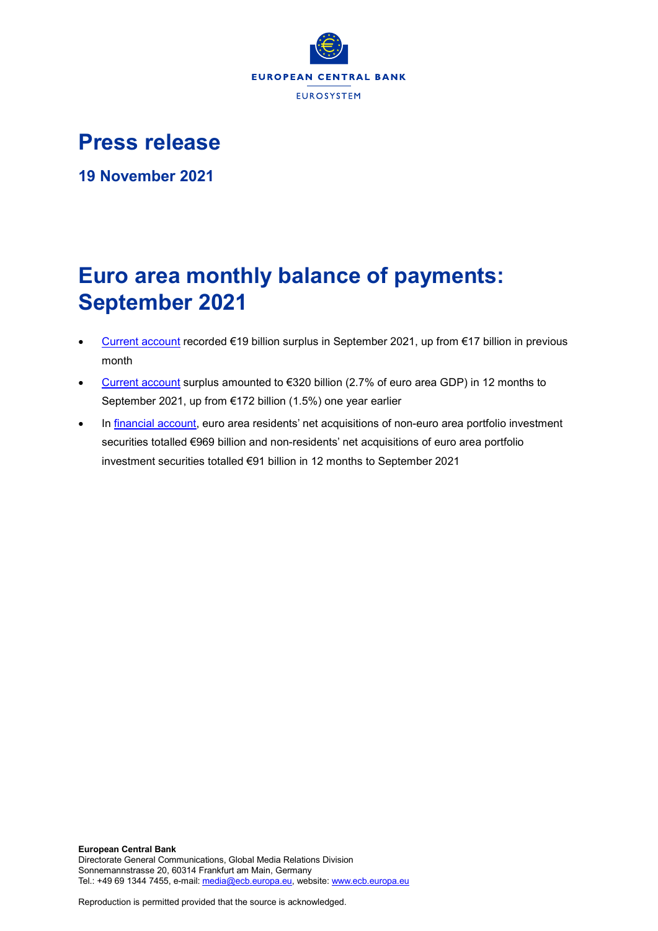

## **Press release**

**19 November 2021**

# **Euro area monthly balance of payments: September 2021**

- [Current account](http://sdw.ecb.europa.eu/browseSelection.do?df=true&ec=&dc=&oc=&pb=&rc=&dataSET=0&removeItem=D&removedItemList=&mergeFilter=&activeTab=BP6&showHide=&FREQ.243=M&ADJUSTMENT.243=Y&REF_AREA.243=I8&ACCOUNTING_ENTRY.243=B&INT_ACC_ITEM.243=CA&node=9688874&legendRef=reference) recorded €19 billion surplus in September 2021, up from €17 billion in previous month
- [Current account](http://sdw.ecb.europa.eu/browseSelection.do?df=true&ec=&dc=&oc=&pb=&rc=&dataSET=0&removeItem=D&removedItemList=&mergeFilter=&activeTab=BP6&showHide=&FREQ.243=M&ADJUSTMENT.243=Y&REF_AREA.243=I8&ACCOUNTING_ENTRY.243=B&INT_ACC_ITEM.243=CA&node=9688874&legendRef=reference) surplus amounted to €320 billion (2.7% of euro area GDP) in 12 months to September 2021, up from €172 billion (1.5%) one year earlier
- In [financial account,](http://sdw.ecb.europa.eu/browseSelection.do?type=series&q=BP6.M.N.I8.W1.S1.S1.T.N.FA._T.F._Z.EUR._T._X.N+BP6.M.N.I8.W1.S1.S1.T.A.FA.P.F._Z.EUR._T.M.N+BP6.M.N.I8.W1.S1.S1.T.L.FA.P.F._Z.EUR._T.M.N&node=SEARCHRESULTS&ec=&oc=&rc=&cv=&pb=&dc=&df=) euro area residents' net acquisitions of non-euro area portfolio investment securities totalled €969 billion and non-residents' net acquisitions of euro area portfolio investment securities totalled €91 billion in 12 months to September 2021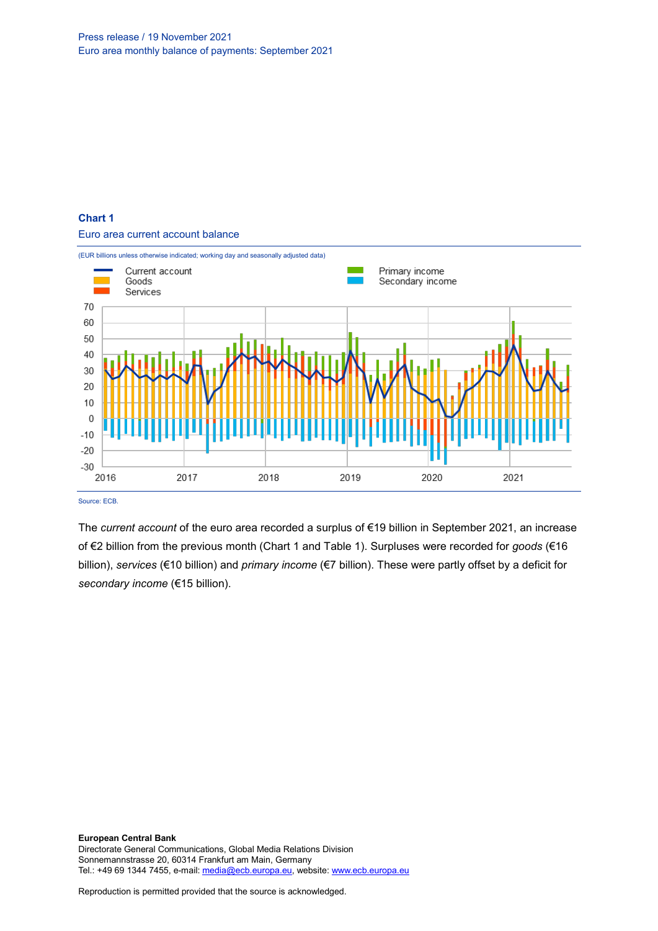## **Chart 1** Euro area current account balance



Source: ECB

The *current account* of the euro area recorded a surplus of €19 billion in September 2021, an increase of €2 billion from the previous month (Chart 1 and Table 1). Surpluses were recorded for *goods* (€16 billion), *services* (€10 billion) and *primary income* (€7 billion). These were partly offset by a deficit for *secondary income* (€15 billion).

**European Central Bank** Directorate General Communications, Global Media Relations Division Sonnemannstrasse 20, 60314 Frankfurt am Main, Germany Tel.: +49 69 1344 7455, e-mail[: media@ecb.europa.eu,](mailto:media@ecb.europa.eu) website[: www.ecb.europa.eu](http://www.ecb.europa.eu/)

Reproduction is permitted provided that the source is acknowledged.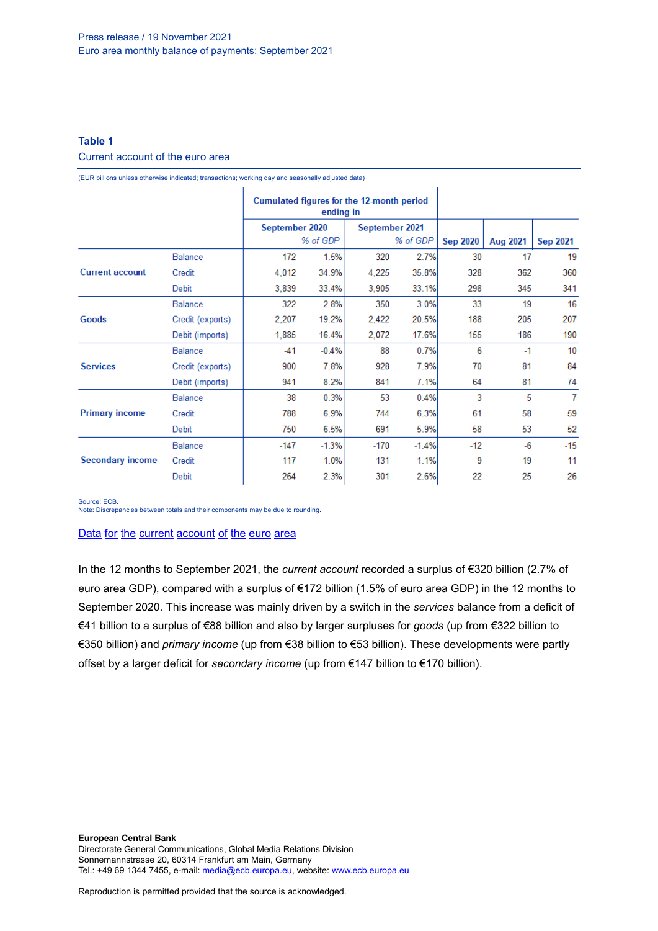## **Table 1**

## Current account of the euro area

(EUR billions unless otherwise indicated; transactions; working day and seasonally adjusted data)

|                         |                  | Cumulated figures for the 12-month period<br>ending in |         |                |         |                 |                 |                 |
|-------------------------|------------------|--------------------------------------------------------|---------|----------------|---------|-----------------|-----------------|-----------------|
|                         |                  | September 2020                                         |         | September 2021 |         |                 |                 |                 |
|                         |                  | % of GDP                                               |         | % of GDP       |         | <b>Sep 2020</b> | <b>Aug 2021</b> | <b>Sep 2021</b> |
|                         | <b>Balance</b>   | 172                                                    | 1.5%    | 320            | 2.7%    | 30              | 17              | 19              |
| <b>Current account</b>  | Credit           | 4,012                                                  | 34.9%   | 4,225          | 35.8%   | 328             | 362             | 360             |
|                         | Debit            | 3,839                                                  | 33.4%   | 3,905          | 33.1%   | 298             | 345             | 341             |
| Goods                   | <b>Balance</b>   | 322                                                    | 2.8%    | 350            | 3.0%    | 33              | 19              | 16              |
|                         | Credit (exports) | 2.207                                                  | 19.2%   | 2,422          | 20.5%   | 188             | 205             | 207             |
|                         | Debit (imports)  | 1,885                                                  | 16.4%   | 2,072          | 17.6%   | 155             | 186             | 190             |
| <b>Services</b>         | <b>Balance</b>   | $-41$                                                  | $-0.4%$ | 88             | 0.7%    | 6               | $-1$            | 10              |
|                         | Credit (exports) | 900                                                    | 7.8%    | 928            | 7.9%    | 70              | 81              | 84              |
|                         | Debit (imports)  | 941                                                    | 8.2%    | 841            | 7.1%    | 64              | 81              | 74              |
| <b>Primary income</b>   | <b>Balance</b>   | 38                                                     | 0.3%    | 53             | 0.4%    | 3               | 5               | 7               |
|                         | Credit           | 788                                                    | 6.9%    | 744            | 6.3%    | 61              | 58              | 59              |
|                         | Debit            | 750                                                    | 6.5%    | 691            | 5.9%    | 58              | 53              | 52              |
| <b>Secondary income</b> | <b>Balance</b>   | $-147$                                                 | $-1.3%$ | $-170$         | $-1.4%$ | $-12$           | $-6$            | $-15$           |
|                         | Credit           | 117                                                    | 1.0%    | 131            | 1.1%    | 9               | 19              | 11              |
|                         | Debit            | 264                                                    | 2.3%    | 301            | 2.6%    | 22              | 25              | 26              |

Source: ECB.

Note: Discrepancies between totals and their components may be due to rounding.

#### Data for the current [account](http://sdw.ecb.europa.eu/browseSelection.do?df=true&ec=&dc=&oc=&pb=&rc=&DATASET=0&removeItem=&removedItemList=&mergeFilter=&activeTab=&showHide=&FREQ.243=M&ADJUSTMENT.243=Y&REF_AREA.243=I8&ACCOUNTING_ENTRY.243=B&ACCOUNTING_ENTRY.243=C&ACCOUNTING_ENTRY.243=D&INT_ACC_ITEM.243=CA&INT_ACC_ITEM.243=G&INT_ACC_ITEM.243=IN1&INT_ACC_ITEM.243=IN2&INT_ACC_ITEM.243=S&node=9688874&legendRef=reference&legendNor=) of the euro area

In the 12 months to September 2021, the *current account* recorded a surplus of €320 billion (2.7% of euro area GDP), compared with a surplus of €172 billion (1.5% of euro area GDP) in the 12 months to September 2020. This increase was mainly driven by a switch in the *services* balance from a deficit of €41 billion to a surplus of €88 billion and also by larger surpluses for *goods* (up from €322 billion to €350 billion) and *primary income* (up from €38 billion to €53 billion). These developments were partly offset by a larger deficit for *secondary income* (up from €147 billion to €170 billion).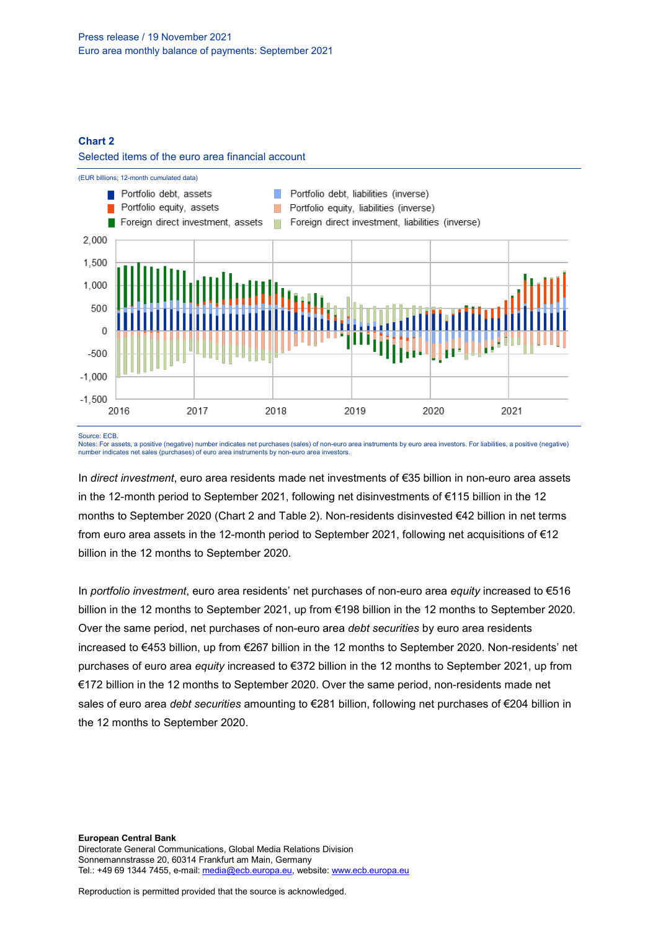#### **Chart 2**

#### Selected items of the euro area financial account



Source: ECB.

Notes: For assets, a positive (negative) number indicates net purchases (sales) of non-euro area instruments by euro area investors. For liabilities, a positive (negative) number indicates net sales (purchases) of euro area instruments by non-euro area investors.

In *direct investment*, euro area residents made net investments of €35 billion in non-euro area assets in the 12-month period to September 2021, following net disinvestments of €115 billion in the 12 months to September 2020 (Chart 2 and Table 2). Non-residents disinvested €42 billion in net terms from euro area assets in the 12-month period to September 2021, following net acquisitions of €12 billion in the 12 months to September 2020.

In *portfolio investment*, euro area residents' net purchases of non-euro area *equity* increased to €516 billion in the 12 months to September 2021, up from €198 billion in the 12 months to September 2020. Over the same period, net purchases of non-euro area *debt securities* by euro area residents increased to €453 billion, up from €267 billion in the 12 months to September 2020. Non-residents' net purchases of euro area *equity* increased to €372 billion in the 12 months to September 2021, up from €172 billion in the 12 months to September 2020. Over the same period, non-residents made net sales of euro area *debt securities* amounting to €281 billion, following net purchases of €204 billion in the 12 months to September 2020.

**European Central Bank** Directorate General Communications, Global Media Relations Division Sonnemannstrasse 20, 60314 Frankfurt am Main, Germany Tel.: +49 69 1344 7455, e-mail[: media@ecb.europa.eu,](mailto:media@ecb.europa.eu) website[: www.ecb.europa.eu](http://www.ecb.europa.eu/)

Reproduction is permitted provided that the source is acknowledged.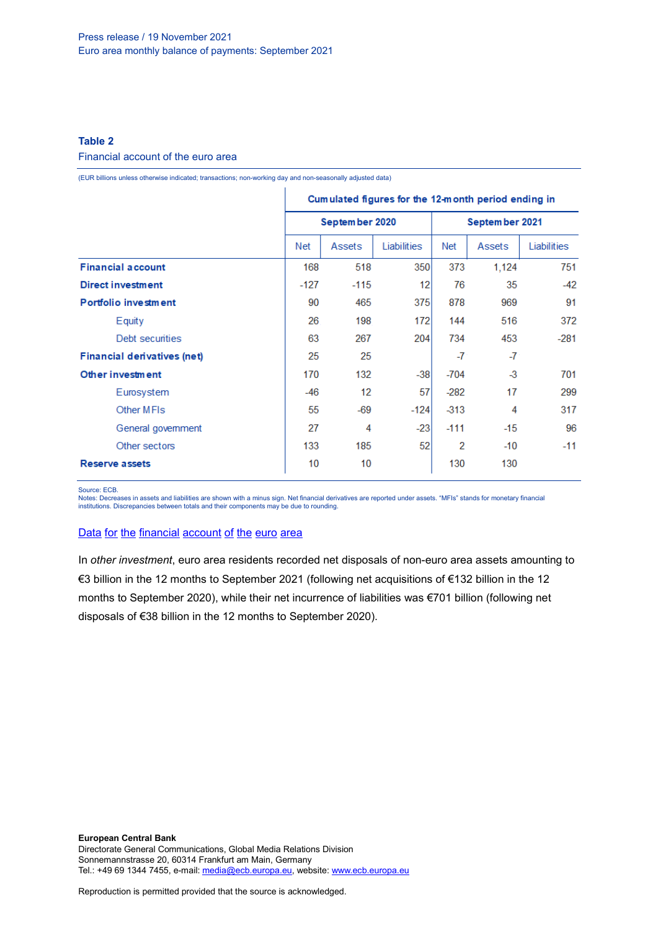## **Table 2**

#### Financial account of the euro area

(EUR billions unless otherwise indicated; transactions; non-working day and non-seasonally adjusted data)

|                                    | Cumulated figures for the 12-month period ending in |                |             |                |               |             |  |
|------------------------------------|-----------------------------------------------------|----------------|-------------|----------------|---------------|-------------|--|
|                                    |                                                     | September 2020 |             | September 2021 |               |             |  |
|                                    | Net                                                 | Assets         | Liabilities | <b>Net</b>     | Assets        | Liabilities |  |
| <b>Financial account</b>           | 168                                                 | 518            | 350         | 373            | 1,124         | 751         |  |
| <b>Direct investment</b>           | $-127$                                              | $-115$         | 12          | 76             | 35            | $-42$       |  |
| Portfolio investment               | 90                                                  | 465            | 375         | 878            | 969           | 91          |  |
| Equity                             | 26                                                  | 198            | 172         | 144            | 516           | 372         |  |
| Debt securities                    | 63                                                  | 267            | 204         | 734            | 453           | $-281$      |  |
| <b>Financial derivatives (net)</b> | 25                                                  | 25             |             | $-7$           | -7            |             |  |
| Other investment                   | 170                                                 | 132            | $-38$       | $-704$         | $\mathcal{A}$ | 701         |  |
| Eurosystem                         | $-46$                                               | 12             | 57          | $-282$         | 17            | 299         |  |
| Other MFIs                         | 55                                                  | $-69$          | $-124$      | $-313$         | 4             | 317         |  |
| General government                 | 27                                                  | 4              | $-23$       | $-111$         | -15           | 96          |  |
| Other sectors                      | 133                                                 | 185            | 52          | 2              | $-10$         | $-11$       |  |
| <b>Reserve assets</b>              | 10                                                  | 10             |             | 130            | 130           |             |  |

Source: ECB.

Notes: Decreases in assets and liabilities are shown with a minus sign. Net financial derivatives are reported under assets. "MFIs" stands for monetary financial<br>institutions. Discrepancies between totals and their compone

#### Data for the [financial](http://sdw.ecb.europa.eu/browseSelection.do?df=true&ec=&dc=&oc=&pb=&rc=&DATASET=0&removeItem=&removedItemList=&mergeFilter=&activeTab=&showHide=&FREQ.243=M&REF_AREA.243=I8&REF_SECTOR.243=S1&REF_SECTOR.243=S121&REF_SECTOR.243=S12T&REF_SECTOR.243=S13&REF_SECTOR.243=S1P&COUNTERPART_SECTOR.243=S1&FLOW_STOCK_ENTRY.243=T&ACCOUNTING_ENTRY.243=A&ACCOUNTING_ENTRY.243=L&ACCOUNTING_ENTRY.243=N&FUNCTIONAL_CAT.243=D&FUNCTIONAL_CAT.243=O&FUNCTIONAL_CAT.243=P&FUNCTIONAL_CAT.243=R&INSTR_ASSET.243=F&INSTR_ASSET.243=F3&INSTR_ASSET.243=F5&INSTR_ASSET.243=FL&MATURITY.243=T&MATURITY.243=_Z&node=9688874&legendRef=reference&legendNor=) account of the euro area

In *other investment*, euro area residents recorded net disposals of non-euro area assets amounting to €3 billion in the 12 months to September 2021 (following net acquisitions of €132 billion in the 12 months to September 2020), while their net incurrence of liabilities was €701 billion (following net disposals of €38 billion in the 12 months to September 2020).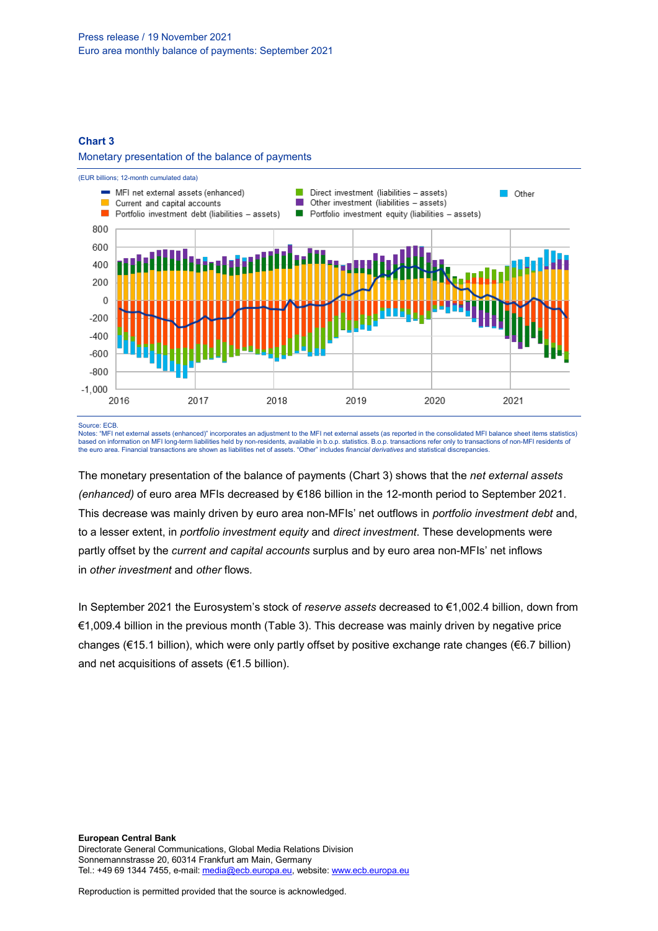#### **Chart 3**

#### Monetary presentation of the balance of payments



#### Source: ECB.

Notes: "MFI net external assets (enhanced)" incorporates an adjustment to the MFI net external assets (as reported in the consolidated MFI balance sheet items statistics)<br>based on information on MFI long-term liabilities h the euro area. Financial transactions are shown as liabilities net of assets. "Other" includes *financial derivatives* and statistical discrepancies.

The monetary presentation of the balance of payments (Chart 3) shows that the *net external assets (enhanced)* of euro area MFIs decreased by €186 billion in the 12-month period to September 2021. This decrease was mainly driven by euro area non-MFIs' net outflows in *portfolio investment debt* and, to a lesser extent, in *portfolio investment equity* and *direct investment*. These developments were partly offset by the *current and capital accounts* surplus and by euro area non-MFIs' net inflows in *other investment* and *other* flows*.*

In September 2021 the Eurosystem's stock of *reserve assets* decreased to €1,002.4 billion, down from €1,009.4 billion in the previous month (Table 3). This decrease was mainly driven by negative price changes (€15.1 billion), which were only partly offset by positive exchange rate changes (€6.7 billion) and net acquisitions of assets (€1.5 billion).